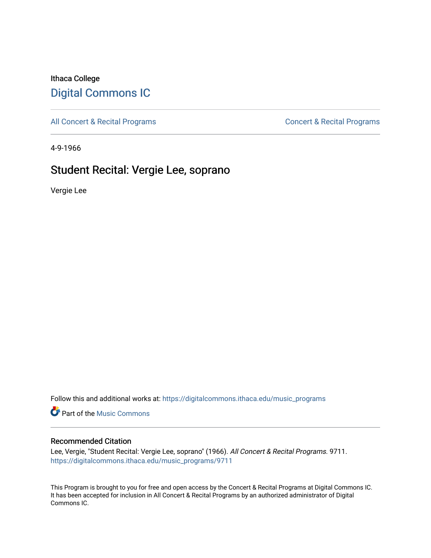## Ithaca College [Digital Commons IC](https://digitalcommons.ithaca.edu/)

[All Concert & Recital Programs](https://digitalcommons.ithaca.edu/music_programs) **Concert & Recital Programs** Concert & Recital Programs

4-9-1966

# Student Recital: Vergie Lee, soprano

Vergie Lee

Follow this and additional works at: [https://digitalcommons.ithaca.edu/music\\_programs](https://digitalcommons.ithaca.edu/music_programs?utm_source=digitalcommons.ithaca.edu%2Fmusic_programs%2F9711&utm_medium=PDF&utm_campaign=PDFCoverPages) 

**Part of the Music Commons** 

#### Recommended Citation

Lee, Vergie, "Student Recital: Vergie Lee, soprano" (1966). All Concert & Recital Programs. 9711. [https://digitalcommons.ithaca.edu/music\\_programs/9711](https://digitalcommons.ithaca.edu/music_programs/9711?utm_source=digitalcommons.ithaca.edu%2Fmusic_programs%2F9711&utm_medium=PDF&utm_campaign=PDFCoverPages) 

This Program is brought to you for free and open access by the Concert & Recital Programs at Digital Commons IC. It has been accepted for inclusion in All Concert & Recital Programs by an authorized administrator of Digital Commons IC.